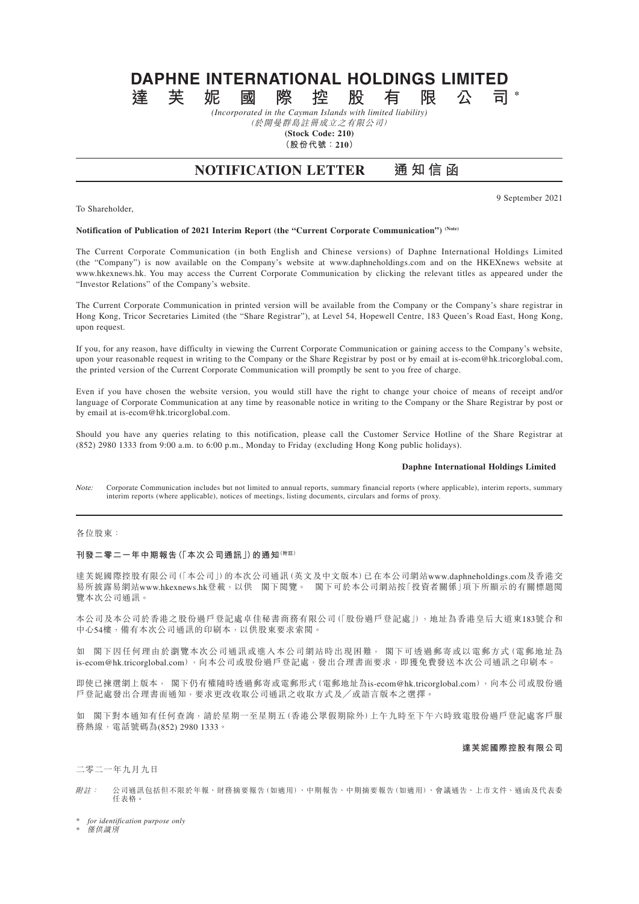# **DAPHNE INTERNATIONAL HOLDINGS LIMITED**<br>達 芙 妮 國 際 控 股 有 限 公 司 **達芙妮國際控股有限公司 \***

*(Incorporated in the Cayman Islands with limited liability)* (於開曼群島註冊成立之有限公司)

**(Stock Code: 210)**

**(股份代號:210)**

## **NOTIFICATION LETTER 通知信函**

9 September 2021

#### **Notification of Publication of 2021 Interim Report (the "Current Corporate Communication") (Note)**

The Current Corporate Communication (in both English and Chinese versions) of Daphne International Holdings Limited (the "Company") is now available on the Company's website at www.daphneholdings.com and on the HKEXnews website at www.hkexnews.hk. You may access the Current Corporate Communication by clicking the relevant titles as appeared under the "Investor Relations" of the Company's website.

The Current Corporate Communication in printed version will be available from the Company or the Company's share registrar in Hong Kong, Tricor Secretaries Limited (the "Share Registrar"), at Level 54, Hopewell Centre, 183 Queen's Road East, Hong Kong, upon request.

If you, for any reason, have difficulty in viewing the Current Corporate Communication or gaining access to the Company's website, upon your reasonable request in writing to the Company or the Share Registrar by post or by email at is-ecom@hk.tricorglobal.com, the printed version of the Current Corporate Communication will promptly be sent to you free of charge.

Even if you have chosen the website version, you would still have the right to change your choice of means of receipt and/or language of Corporate Communication at any time by reasonable notice in writing to the Company or the Share Registrar by post or by email at is-ecom@hk.tricorglobal.com.

Should you have any queries relating to this notification, please call the Customer Service Hotline of the Share Registrar at (852) 2980 1333 from 9:00 a.m. to 6:00 p.m., Monday to Friday (excluding Hong Kong public holidays).

#### **Daphne International Holdings Limited**

Note: Corporate Communication includes but not limited to annual reports, summary financial reports (where applicable), interim reports, summary interim reports (where applicable), notices of meetings, listing documents, circulars and forms of proxy.

### 各位股東:

To Shareholder,

#### **刊發二零二一年中期報告(「本次公司通訊」)的通知(附註)**

達芙妮國際控股有限公司(「本公司」)的本次公司通訊(英文及中文版本)已在本公司網站www.daphneholdings.com及香港交 易所披露易網站www.hkexnews.hk登載,以供 閣下閱覽。 閣下可於本公司網站按「投資者關係」項下所顯示的有關標題閱 覽本次公司通訊。

本公司及本公司於香港之股份過戶登記處卓佳秘書商務有限公司(「股份過戶登記處」),地址為香港皇后大道東183號合和 中心54樓,備有本次公司通訊的印刷本,以供股東要求索閱。

如 閣下因任何理由於瀏覽本次公司通訊或進入本公司網站時出現困難, 閣下可透過郵寄或以電郵方式(電郵地址為 is-ecom@hk.tricorglobal.com),向本公司或股份過戶登記處,發出合理書面要求,即獲免費發送本次公司通訊之印刷本。

即使已揀選網上版本, 閣下仍有權隨時透過郵寄或電郵形式(電郵地址為is-ecom@hk.tricorglobal.com),向本公司或股份過 戶登記處發出合理書面通知,要求更改收取公司通訊之收取方式及╱或語言版本之選擇。

如 閣下對本通知有任何查詢,請於星期一至星期五(香港公眾假期除外)上午九時至下午六時致電股份過戶登記處客戶服 務熱線,電話號碼為(852) 2980 1333。

### **達芙妮國際控股有限公司**

二零二一年九月九日

附註: 公司通訊包括但不限於年報、財務摘要報告(如適用)、中期報告、中期摘要報告(如適用)、會議通告、上市文件、通函及代表委 任表格。

\* *for identification purpose only*

\* 僅供識別